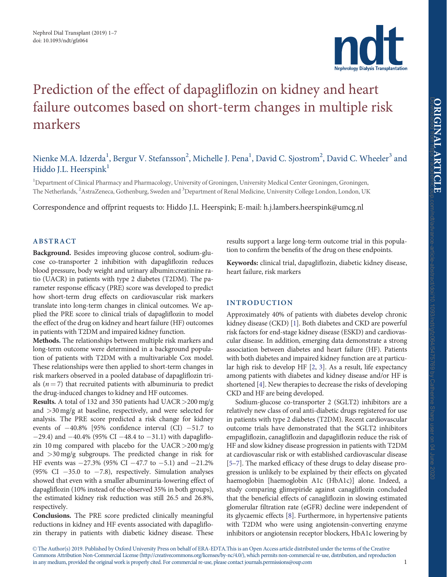

# <span id="page-0-0"></span>Prediction of the effect of dapagliflozin on kidney and heart failure outcomes based on short-term changes in multiple risk markers

## Nienke M.A. Idzerda<sup>1</sup>, Bergur V. Stefansson<sup>2</sup>, Michelle J. Pena<sup>1</sup>, David C. Sjostrom<sup>2</sup>, David C. Wheeler<sup>3</sup> and Hiddo J.L. Heerspink<sup>1</sup>

<sup>1</sup>Department of Clinical Pharmacy and Pharmacology, University of Groningen, University Medical Center Groningen, Groningen, The Netherlands, <sup>2</sup>AstraZeneca, Gothenburg, Sweden and <sup>3</sup>Department of Renal Medicine, University College London, London, UK

Correspondence and offprint requests to: Hiddo J.L. Heerspink; E-mail: h.j.lambers.heerspink@umcg.nl

## ABSTRACT

Background. Besides improving glucose control, sodium-glucose co-transporter 2 inhibition with dapagliflozin reduces blood pressure, body weight and urinary albumin:creatinine ratio (UACR) in patients with type 2 diabetes (T2DM). The parameter response efficacy (PRE) score was developed to predict how short-term drug effects on cardiovascular risk markers translate into long-term changes in clinical outcomes. We applied the PRE score to clinical trials of dapagliflozin to model the effect of the drug on kidney and heart failure (HF) outcomes in patients with T2DM and impaired kidney function.

Methods. The relationships between multiple risk markers and long-term outcome were determined in a background population of patients with T2DM with a multivariable Cox model. These relationships were then applied to short-term changes in risk markers observed in a pooled database of dapagliflozin trials ( $n = 7$ ) that recruited patients with albuminuria to predict the drug-induced changes to kidney and HF outcomes.

Results. A total of 132 and 350 patients had UACR>200 mg/g and >30 mg/g at baseline, respectively, and were selected for analysis. The PRE score predicted a risk change for kidney events of  $-40.8\%$  [95% confidence interval (CI)  $-51.7$  to  $-29.4$ ) and  $-40.4\%$  (95% CI  $-48.4$  to  $-31.1$ ) with dapagliflozin 10 mg compared with placebo for the UACR>200 mg/g and >30 mg/g subgroups. The predicted change in risk for HF events was  $-27.3\%$  (95% CI  $-47.7$  to  $-5.1$ ) and  $-21.2\%$ (95% CI  $-35.0$  to  $-7.8$ ), respectively. Simulation analyses showed that even with a smaller albuminuria-lowering effect of dapagliflozin (10% instead of the observed 35% in both groups), the estimated kidney risk reduction was still 26.5 and 26.8%, respectively.

Conclusions. The PRE score predicted clinically meaningful reductions in kidney and HF events associated with dapagliflozin therapy in patients with diabetic kidney disease. These results support a large long-term outcome trial in this population to confirm the benefits of the drug on these endpoints.

Keywords: clinical trial, dapagliflozin, diabetic kidney disease, heart failure, risk markers

## INTRODUCTION

Approximately 40% of patients with diabetes develop chronic kidney disease (CKD) [\[1](#page-5-0)]. Both diabetes and CKD are powerful risk factors for end-stage kidney disease (ESKD) and cardiovascular disease. In addition, emerging data demonstrate a strong association between diabetes and heart failure (HF). Patients with both diabetes and impaired kidney function are at particular high risk to develop HF [\[2,](#page-5-0) [3](#page-5-0)]. As a result, life expectancy among patients with diabetes and kidney disease and/or HF is shortened [[4\]](#page-5-0). New therapies to decrease the risks of developing CKD and HF are being developed.

Sodium-glucose co-transporter 2 (SGLT2) inhibitors are a relatively new class of oral anti-diabetic drugs registered for use in patients with type 2 diabetes (T2DM). Recent cardiovascular outcome trials have demonstrated that the SGLT2 inhibitors empagliflozin, canagliflozin and dapagliflozin reduce the risk of HF and slow kidney disease progression in patients with T2DM at cardiovascular risk or with established cardiovascular disease [[5–7](#page-5-0)]. The marked efficacy of these drugs to delay disease progression is unlikely to be explained by their effects on glycated haemoglobin [haemoglobin A1c (HbA1c)] alone. Indeed, a study comparing glimepiride against canagliflozin concluded that the beneficial effects of canagliflozin in slowing estimated glomerular filtration rate (eGFR) decline were independent of its glycaemic effects [\[8\]](#page-5-0). Furthermore, in hypertensive patients with T2DM who were using angiotensin-converting enzyme inhibitors or angiotensin receptor blockers, HbA1c lowering by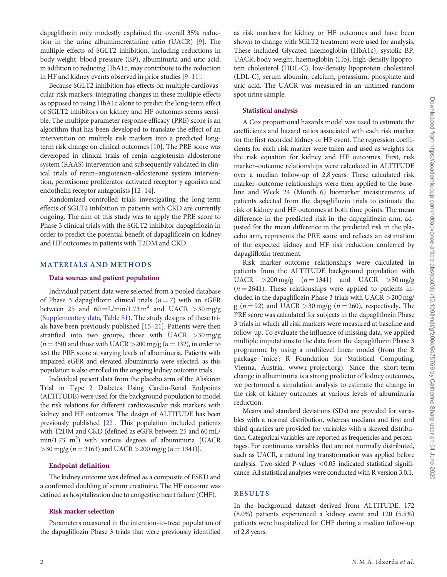<span id="page-1-0"></span>dapagliflozin only modestly explained the overall 35% reduction in the urine albumin:creatinine ratio (UACR) [\[9](#page-5-0)]. The multiple effects of SGLT2 inhibition, including reductions in body weight, blood pressure (BP), albuminuria and uric acid, in addition to reducing HbA1c, may contribute to the reduction in HF and kidney events observed in prior studies [[9–11](#page-5-0)].

Because SGLT2 inhibition has effects on multiple cardiovascular risk markers, integrating changes in these multiple effects as opposed to using HbA1c alone to predict the long-term effect of SGLT2 inhibitors on kidney and HF outcomes seems sensible. The multiple parameter response efficacy (PRE) score is an algorithm that has been developed to translate the effect of an intervention on multiple risk markers into a predicted longterm risk change on clinical outcomes [\[10](#page-5-0)]. The PRE score was developed in clinical trials of renin–angiotensin–aldosterone system (RAAS) intervention and subsequently validated in clinical trials of renin–angiotensin–aldosterone system intervention, peroxisome proliferator-activated receptor  $\gamma$  agonists and endothelin receptor antagonists [\[12–14](#page-6-0)].

Randomized controlled trials investigating the long-term effects of SGLT2 inhibition in patients with CKD are currently ongoing. The aim of this study was to apply the PRE score to Phase 3 clinical trials with the SGLT2 inhibitor dapagliflozin in order to predict the potential benefit of dapagliflozin on kidney and HF outcomes in patients with T2DM and CKD.

## MATERIALS AND METHODS

## Data sources and patient population

Individual patient data were selected from a pooled database of Phase 3 dapagliflozin clinical trials  $(n = 7)$  with an eGFR between 25 and 60 mL/min/1.73 m<sup>2</sup> and UACR  $>$ 30 mg/g [\(Supplementary data](https://academic.oup.com/ndt/article-lookup/doi/10.1093/ndt/gfz064#supplementary-data), [Table S1\)](https://academic.oup.com/ndt/article-lookup/doi/10.1093/ndt/gfz064#supplementary-data). The study designs of these trials have been previously published [[15–21](#page-6-0)]. Patients were then stratified into two groups, those with UACR  $>30$  mg/g  $(n = 350)$  and those with UACR >200 mg/g  $(n = 132)$ , in order to test the PRE score at varying levels of albuminuria. Patients with impaired eGFR and elevated albuminuria were selected, as this population is also enrolled in the ongoing kidney outcome trials.

Individual patient data from the placebo arm of the Aliskiren Trial in Type 2 Diabetes Using Cardio-Renal Endpoints (ALTITUDE) were used for the background population to model the risk relations for different cardiovascular risk markers with kidney and HF outcomes. The design of ALTITUDE has been previously published [\[22](#page-6-0)]. This population included patients with T2DM and CKD (defined as eGFR between 25 and 60 mL/  $min/1.73$   $m^2$ ) with various degrees of albuminuria [UACR  $>$ 30 mg/g (n = 2163) and UACR  $>$  200 mg/g (n = 1341)].

## Endpoint definition

The kidney outcome was defined as a composite of ESKD and a confirmed doubling of serum creatinine. The HF outcome was defined as hospitalization due to congestive heart failure (CHF).

#### Risk marker selection

Parameters measured in the intention-to-treat population of the dapagliflozin Phase 3 trials that were previously identified as risk markers for kidney or HF outcomes and have been shown to change with SGLT2 treatment were used for analysis. These included Glycated haemoglobin (HbA1c), systolic BP, UACR, body weight, haemoglobin (Hb), high-density lipoprotein cholesterol (HDL-C), low-density lipoprotein cholesterol (LDL-C), serum albumin, calcium, potassium, phosphate and uric acid. The UACR was measured in an untimed random spot urine sample.

#### Statistical analysis

A Cox proportional hazards model was used to estimate the coefficients and hazard ratios associated with each risk marker for the first recorded kidney or HF event. The regression coefficients for each risk marker were taken and used as weights for the risk equation for kidney and HF outcomes. First, risk marker–outcome relationships were calculated in ALTITUDE over a median follow-up of 2.8 years. These calculated risk marker–outcome relationships were then applied to the baseline and Week 24 (Month 6) biomarker measurements of patients selected from the dapagliflozin trials to estimate the risk of kidney and HF outcomes at both time points. The mean difference in the predicted risk in the dapagliflozin arm, adjusted for the mean difference in the predicted risk in the placebo arm, represents the PRE score and reflects an estimation of the expected kidney and HF risk reduction conferred by dapagliflozin treatment.

Risk marker–outcome relationships were calculated in patients from the ALTITUDE background population with UACR  $>200 \text{ mg/g}$   $(n = 1341)$  and UACR  $>30 \text{ mg/g}$  $(n = 2641)$ . These relationships were applied to patients included in the dapagliflozin Phase 3 trials with UACR >200 mg/ g ( $n = 92$ ) and UACR > 30 mg/g ( $n = 260$ ), respectively. The PRE score was calculated for subjects in the dapagliflozin Phase 3 trials in which all risk markers were measured at baseline and follow-up. To evaluate the influence of missing data, we applied multiple imputations to the data from the dapagliflozin Phase 3 programme by using a multilevel linear model (from the R package 'mice'; R Foundation for Statistical Computing, Vienna, Austria, [www.r-project.org\)](http://www.r-project.org). Since the short-term change in albuminuria is a strong predictor of kidney outcomes, we performed a simulation analysis to estimate the change in the risk of kidney outcomes at various levels of albuminuria reduction.

Means and standard deviations (SDs) are provided for variables with a normal distribution, whereas medians and first and third quartiles are provided for variables with a skewed distribution. Categorical variables are reported as frequencies and percentages. For continuous variables that are not normally distributed, such as UACR, a natural log transformation was applied before analysis. Two-sided P-values  $< 0.05$  indicated statistical significance. All statistical analyses were conducted with R version 3.0.1.

## RESULTS

In the background dataset derived from ALTITUDE, 172 (8.0%) patients experienced a kidney event and 120 (5.5%) patients were hospitalized for CHF during a median follow-up of 2.8 years.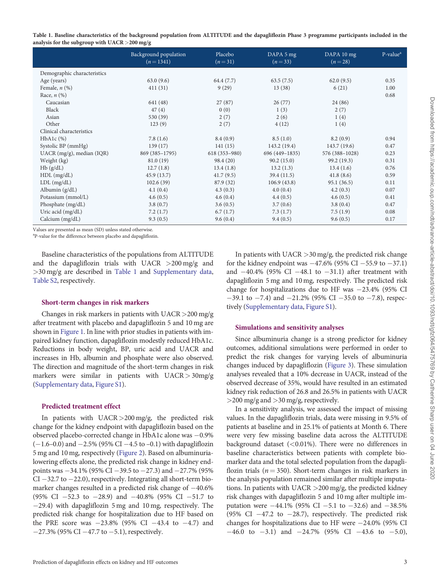| Table 1. Baseline characteristics of the background population from ALTITUDE and the dapagliflozin Phase 3 programme participants included in the |  |  |
|---------------------------------------------------------------------------------------------------------------------------------------------------|--|--|
| analysis for the subgroup with $UACR > 200$ mg/g                                                                                                  |  |  |

|                             | Background population<br>$(n=1341)$ | Placebo<br>$(n=31)$ | DAPA 5 mg<br>$(n=33)$ | DAPA 10 mg<br>$(n=28)$ | $P-valuea$ |
|-----------------------------|-------------------------------------|---------------------|-----------------------|------------------------|------------|
| Demographic characteristics |                                     |                     |                       |                        |            |
| Age (years)                 | 63.0(9.6)                           | 64.4 (7.7)          | 63.5(7.5)             | 62.0(9.5)              | 0.35       |
| Female, $n$ $(\%)$          | 411(31)                             | 9(29)               | 13(38)                | 6(21)                  | 1.00       |
| Race, $n$ $(\%)$            |                                     |                     |                       |                        | 0.68       |
| Caucasian                   | 641 (48)                            | 27(87)              | 26(77)                | 24 (86)                |            |
| Black                       | 47(4)                               | 0(0)                | 1(3)                  | 2(7)                   |            |
| Asian                       | 530 (39)                            | 2(7)                | 2(6)                  | 1(4)                   |            |
| Other                       | 123(9)                              | 2(7)                | 4(12)                 | 1(4)                   |            |
| Clinical characteristics    |                                     |                     |                       |                        |            |
| $HbA1c$ $%$                 | 7.8(1.6)                            | 8.4(0.9)            | 8.5(1.0)              | 8.2(0.9)               | 0.94       |
| Systolic BP (mmHg)          | 139(17)                             | 141(15)             | 143.2 (19.4)          | 143.7(19.6)            | 0.47       |
| $UACR$ (mg/g), median (IQR) | 869 (385-1795)                      | $618(353 - 980)$    | 696 (449-1835)        | 576 (388-1028)         | 0.23       |
| Weight (kg)                 | 81.0(19)                            | 98.4 (20)           | 90.2(15.0)            | 99.2 (19.3)            | 0.31       |
| Hb(g/dL)                    | 12.7(1.8)                           | 13.4(1.8)           | 13.2(1.3)             | 13.4(1.6)              | 0.76       |
| $HDL$ (mg/dL)               | 45.9(13.7)                          | 41.7(9.5)           | 39.4(11.5)            | 41.8(8.6)              | 0.59       |
| $LDL$ (mg/dL)               | 102.6(39)                           | 87.9 (32)           | 106.9(43.8)           | 95.1(36.5)             | 0.11       |
| Albumin (g/dL)              | 4.1(0.4)                            | 4.3(0.3)            | 4.0(0.4)              | 4.2(0.3)               | 0.07       |
| Potassium (mmol/L)          | 4.6(0.5)                            | 4.6(0.4)            | 4.4(0.5)              | 4.6(0.5)               | 0.41       |
| Phosphate (mg/dL)           | 3.8(0.7)                            | 3.6(0.5)            | 3.7(0.6)              | 3.8(0.4)               | 0.47       |
| Uric acid (mg/dL)           | 7.2(1.7)                            | 6.7(1.7)            | 7.3(1.7)              | 7.5(1.9)               | 0.08       |
| Calcium (mg/dL)             | 9.3(0.5)                            | 9.6(0.4)            | 9.4(0.5)              | 9.6(0.5)               | 0.17       |

Values are presented as mean (SD) unless stated otherwise.

<sup>a</sup>P-value for the difference between placebo and dapagliflozin.

Baseline characteristics of the populations from ALTITUDE and the dapagliflozin trials with UACR  $>200$  mg/g and >30 mg/g are described in Table 1 and [Supplementary data](https://academic.oup.com/ndt/article-lookup/doi/10.1093/ndt/gfz064#supplementary-data), [Table S2](https://academic.oup.com/ndt/article-lookup/doi/10.1093/ndt/gfz064#supplementary-data), respectively.

#### Short-term changes in risk markers

Changes in risk markers in patients with UACR>200 mg/g after treatment with placebo and dapagliflozin 5 and 10 mg are shown in [Figure 1.](#page-3-0) In line with prior studies in patients with impaired kidney function, dapagliflozin modestly reduced HbA1c. Reductions in body weight, BP, uric acid and UACR and increases in Hb, albumin and phosphate were also observed. The direction and magnitude of the short-term changes in risk markers were similar in patients with UACR> 30mg/g [\(Supplementary data](https://academic.oup.com/ndt/article-lookup/doi/10.1093/ndt/gfz064#supplementary-data), [Figure S1](https://academic.oup.com/ndt/article-lookup/doi/10.1093/ndt/gfz064#supplementary-data)).

#### Predicted treatment effect

In patients with UACR>200 mg/g, the predicted risk change for the kidney endpoint with dapagliflozin based on the observed placebo-corrected change in HbA1c alone was  $-0.9\%$  $(-1.6-0.0)$  and  $-2.5\%$  (95% CI  $-4.5$  to  $-0.1$ ) with dapagliflozin 5 mg and 10 mg, respectively [\(Figure 2](#page-4-0)). Based on albuminurialowering effects alone, the predicted risk change in kidney endpoints was  $-34.1\%$  (95% CI  $-39.5$  to  $-27.3$ ) and  $-27.7\%$  (95%  $CI - 32.7$  to  $-22.0$ ), respectively. Integrating all short-term biomarker changes resulted in a predicted risk change of  $-40.6\%$  $(95\% \text{ CI } -52.3 \text{ to } -28.9) \text{ and } -40.8\% \text{ (95\% CI } -51.7 \text{ to }$ -29.4) with dapagliflozin 5 mg and 10 mg, respectively. The predicted risk change for hospitalization due to HF based on the PRE score was  $-23.8\%$  (95% CI  $-43.4$  to  $-4.7$ ) and  $-27.3\%$  (95% CI  $-47.7$  to  $-5.1$ ), respectively.

In patients with UACR >30 mg/g, the predicted risk change for the kidney endpoint was  $-47.6\%$  (95% CI  $-55.9$  to  $-37.1$ ) and  $-40.4\%$  (95% CI  $-48.1$  to  $-31.1$ ) after treatment with dapagliflozin 5 mg and 10 mg, respectively. The predicted risk change for hospitalizations due to HF was  $-23.4\%$  (95% CI  $-39.1$  to  $-7.4$ ) and  $-21.2\%$  (95% CI  $-35.0$  to  $-7.8$ ), respectively [\(Supplementary data](https://academic.oup.com/ndt/article-lookup/doi/10.1093/ndt/gfz064#supplementary-data), [Figure S1\)](https://academic.oup.com/ndt/article-lookup/doi/10.1093/ndt/gfz064#supplementary-data).

#### Simulations and sensitivity analyses

Since albuminuria change is a strong predictor for kidney outcomes, additional simulations were performed in order to predict the risk changes for varying levels of albuminuria changes induced by dapagliflozin ([Figure 3](#page-5-0)). These simulation analyses revealed that a 10% decrease in UACR, instead of the observed decrease of 35%, would have resulted in an estimated kidney risk reduction of 26.8 and 26.5% in patients with UACR >200 mg/g and >30 mg/g, respectively.

In a sensitivity analysis, we assessed the impact of missing values. In the dapagliflozin trials, data were missing in 9.5% of patients at baseline and in 25.1% of patients at Month 6. There were very few missing baseline data across the ALTITUDE background dataset  $(<0.01\%)$ . There were no differences in baseline characteristics between patients with complete biomarker data and the total selected population from the dapagliflozin trials ( $n = 350$ ). Short-term changes in risk markers in the analysis population remained similar after multiple imputations. In patients with UACR >200 mg/g, the predicted kidney risk changes with dapagliflozin 5 and 10 mg after multiple imputation were  $-44.1\%$  (95% CI  $-5.1$  to  $-32.6$ ) and  $-38.5\%$ (95% CI  $-47.2$  to  $-28.7$ ), respectively. The predicted risk changes for hospitalizations due to HF were  $-24.0\%$  (95% CI  $-46.0$  to  $-3.1$ ) and  $-24.7\%$  (95% CI  $-43.6$  to  $-5.0$ ),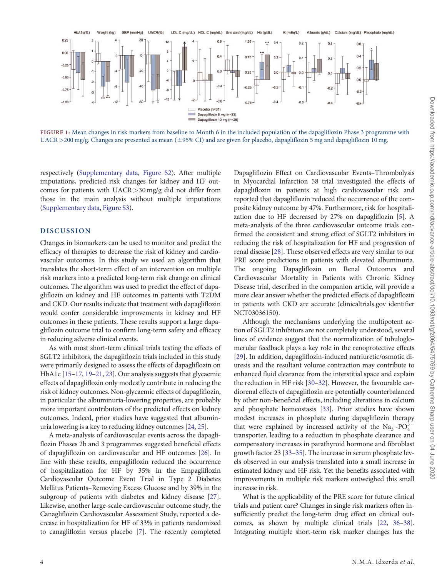<span id="page-3-0"></span>

FIGURE 1: Mean changes in risk markers from baseline to Month 6 in the included population of the dapagliflozin Phase 3 programme with  $UACR > 200$  mg/g. Changes are presented as mean ( $\pm$ 95% CI) and are given for placebo, dapagliflozin 5 mg and dapagliflozin 10 mg.

respectively ([Supplementary data](https://academic.oup.com/ndt/article-lookup/doi/10.1093/ndt/gfz064#supplementary-data), [Figure S2\)](https://academic.oup.com/ndt/article-lookup/doi/10.1093/ndt/gfz064#supplementary-data). After multiple imputations, predicted risk changes for kidney and HF outcomes for patients with UACR >30 mg/g did not differ from those in the main analysis without multiple imputations [\(Supplementary data](https://academic.oup.com/ndt/article-lookup/doi/10.1093/ndt/gfz064#supplementary-data), [Figure S3](https://academic.oup.com/ndt/article-lookup/doi/10.1093/ndt/gfz064#supplementary-data)).

## DISCUSSION

Changes in biomarkers can be used to monitor and predict the efficacy of therapies to decrease the risk of kidney and cardiovascular outcomes. In this study we used an algorithm that translates the short-term effect of an intervention on multiple risk markers into a predicted long-term risk change on clinical outcomes. The algorithm was used to predict the effect of dapagliflozin on kidney and HF outcomes in patients with T2DM and CKD. Our results indicate that treatment with dapagliflozin would confer considerable improvements in kidney and HF outcomes in these patients. These results support a large dapagliflozin outcome trial to confirm long-term safety and efficacy in reducing adverse clinical events.

As with most short-term clinical trials testing the effects of SGLT2 inhibitors, the dapagliflozin trials included in this study were primarily designed to assess the effects of dapagliflozin on HbA1c [\[15–17](#page-6-0), [19–21](#page-6-0), [23](#page-6-0)]. Our analysis suggests that glycaemic effects of dapagliflozin only modestly contribute in reducing the risk of kidney outcomes. Non-glycaemic effects of dapagliflozin, in particular the albuminuria-lowering properties, are probably more important contributors of the predicted effects on kidney outcomes. Indeed, prior studies have suggested that albuminuria lowering is a key to reducing kidney outcomes [\[24,](#page-6-0) [25](#page-6-0)].

A meta-analysis of cardiovascular events across the dapagliflozin Phases 2b and 3 programmes suggested beneficial effects of dapagliflozin on cardiovascular and HF outcomes [\[26\]](#page-6-0). In line with these results, empagliflozin reduced the occurrence of hospitalization for HF by 35% in the Empagliflozin Cardiovascular Outcome Event Trial in Type 2 Diabetes Mellitus Patients–Removing Excess Glucose and by 39% in the subgroup of patients with diabetes and kidney disease [[27\]](#page-6-0). Likewise, another large-scale cardiovascular outcome study, the Canagliflozin Cardiovascular Assessment Study, reported a decrease in hospitalization for HF of 33% in patients randomized to canagliflozin versus placebo [\[7\]](#page-5-0). The recently completed Dapagliflozin Effect on Cardiovascular Events–Thrombolysis in Myocardial Infarction 58 trial investigated the effects of dapagliflozin in patients at high cardiovascular risk and reported that dapagliflozin reduced the occurrence of the composite kidney outcome by 47%. Furthermore, risk for hospitalization due to HF decreased by 27% on dapagliflozin [[5](#page-5-0)]. A meta-analysis of the three cardiovascular outcome trials confirmed the consistent and strong effect of SGLT2 inhibitors in reducing the risk of hospitalization for HF and progression of renal disease [\[28\]](#page-6-0). These observed effects are very similar to our PRE score predictions in patients with elevated albuminuria. The ongoing Dapagliflozin on Renal Outcomes and Cardiovascular Mortality in Patients with Chronic Kidney Disease trial, described in the companion article, will provide a more clear answer whether the predicted effects of dapagliflozin in patients with CKD are accurate (clinicaltrials.gov identifier NCT03036150).

Although the mechanisms underlying the multipotent action of SGLT2 inhibitors are not completely understood, several lines of evidence suggest that the normalization of tubuloglomerular feedback plays a key role in the renoprotective effects [[29](#page-6-0)]. In addition, dapagliflozin-induced natriuretic/osmotic diuresis and the resultant volume contraction may contribute to enhanced fluid clearance from the interstitial space and explain the reduction in HF risk [[30–32\]](#page-6-0). However, the favourable cardiorenal effects of dapagliflozin are potentially counterbalanced by other non-beneficial effects, including alterations in calcium and phosphate homeostasis [\[33](#page-6-0)]. Prior studies have shown modest increases in phosphate during dapagliflozin therapy that were explained by increased activity of the  $Na_3^+$ -PO $_4^3^$ transporter, leading to a reduction in phosphate clearance and compensatory increases in parathyroid hormone and fibroblast growth factor 23 [[33–35](#page-6-0)]. The increase in serum phosphate levels observed in our analysis translated into a small increase in estimated kidney and HF risk. Yet the benefits associated with improvements in multiple risk markers outweighed this small increase in risk.

What is the applicability of the PRE score for future clinical trials and patient care? Changes in single risk markers often insufficiently predict the long-term drug effect on clinical outcomes, as shown by multiple clinical trials [\[22,](#page-6-0) [36–38](#page-6-0)]. Integrating multiple short-term risk marker changes has the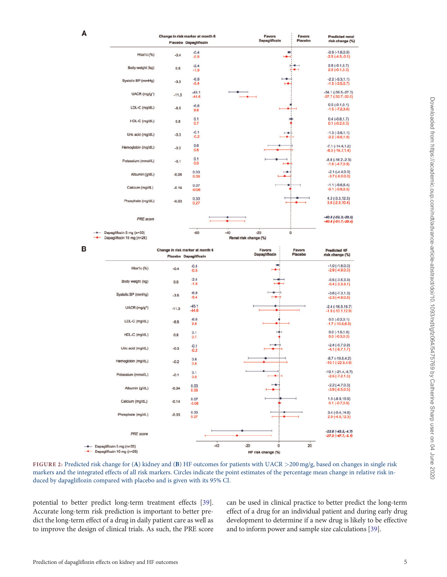<span id="page-4-0"></span>

|                                                         |         | Change in risk marker at month 6                          | Favors                                  | Favors            | <b>Predicted renal</b>                       |
|---------------------------------------------------------|---------|-----------------------------------------------------------|-----------------------------------------|-------------------|----------------------------------------------|
|                                                         |         | Placebo Dapagliflozin                                     | Dapagliflozin                           | Placebo           | risk change (%)                              |
| Hba1c (%)                                               | $-0.4$  | $-0.4$<br>$-0.5$                                          | ÷                                       |                   | $-0.9(-1.6, 0.0)$<br>$-2.5(-4.5,-0.1)$       |
| Body weight (kg)                                        | 0.8     | $-2.4$<br>$-1.9$                                          |                                         |                   | $2.8(-0.1,5.7)$<br>$2.6(-0.1,5.3)$           |
| Systolic BP (mmHg)                                      | $-3.5$  | $-6.9$<br>$-5.4$                                          |                                         |                   | $-2.2(-5.3, 1.1)$<br>$-1.5(-3.5,0.7)$        |
| UACR (mg/g <sup>*</sup> )                               | $-11.3$ | $-45.1$<br>$-44.6$                                        |                                         |                   | $-34.1(-39.5,-27.3)$<br>$-27.7(-32.7,-22.0)$ |
| LDL-C (mg/dL)                                           | $-6.5$  | $-6.6$<br>9.8                                             |                                         |                   | $0.0(-0.1,0.1)$<br>$-1.5(-7.2,3.8)$          |
| HDL-C (mg/dL)                                           | 0.8     | 0.1<br>0.7                                                |                                         |                   | $0.4(-0.8, 1.7)$<br>$0.1 (-0.2, 0.3)$        |
| Uric acid (mg/dL)                                       | $-0.3$  | $-0.1$<br>$-0.2$                                          |                                         |                   | $-1.3(-3.8, 1.1)$<br>$-2.2(-6.6, 1.9)$       |
| Hemoglobin (mg/dL)                                      | $-0.2$  | 0.6<br>0.8                                                |                                         |                   | $-7.1(-14.4, 1.2)$<br>$-8.3(-16.7,1.4)$      |
| Potassium (mmol/L)                                      | $-0.1$  | 0.1<br>0.0                                                |                                         |                   | $-8.8(-16.2,-2.3)$<br>$-1.6(-4.7,0.9)$       |
| Albumin (g/dL)                                          | $-0.04$ | 0.03<br>0.09                                              |                                         |                   | $-2.1(-4.4,0.0)$<br>$-3.7(-8.0,0.0)$         |
| Calcium (mg/dL)                                         | $-0.14$ | 0.07<br>$-0.08$                                           |                                         |                   | $-1.1$ $(-9.6, 6.4)$<br>$-0.1(-0.8, 0.5)$    |
| Phosphate (mg/dL)                                       | $-0.03$ | 0.33<br>0.27                                              |                                         |                   | $4.3(-3.3, 12.5)$<br>$3.6(-2.9, 10.4)$       |
| PRE score                                               |         |                                                           |                                         |                   | $-40.6(-52.3,-28.9)$<br>$-40.8(-51.7,-29.4)$ |
| Dapagliflozin 5 mg (n=33)<br>Dapagliflozin 10 mg (n=28) |         | $-60$                                                     | $-40$<br>$-20$<br>Renal risk change (%) | o                 |                                              |
|                                                         |         | Change in risk marker at month 6<br>Placebo Dapagliflozin | <b>Favors</b><br>Dapagliflozin          | Favors<br>Placebo | <b>Predicted HF</b><br>risk change (%)       |
| Hba1c (%)                                               | $-0.4$  | $-0.4$<br>$-0.5$                                          | o                                       |                   | $-1.0$ ( $-1.8,0.0$ )<br>$-2.9(-4.9,0.0)$    |
| Body weight (kg)                                        | 0.8     | $-2.4$<br>$-1.9$                                          |                                         |                   | $-0.5(-3.5,3.3)$<br>$-0.4(-3.3,3.1)$         |
| Systolic BP (mmHg)                                      | $-3.5$  | $-6.9$<br>$-5.4$                                          |                                         |                   | $-3.6(-7.3, 1.3)$<br>$-2.3(-4.9,0.8)$        |
| UACR (mg/g <sup>*</sup> )                               | $-11.3$ | $-45.1$<br>$-44.6$                                        |                                         |                   | $-2.4(-16.5,16.7)$<br>$-1.9(-13.1, 12.9)$    |

|                           | Change in risk marker at month 6 |                       | Favors<br>Favors     |         | <b>Predicted HF</b>                        |
|---------------------------|----------------------------------|-----------------------|----------------------|---------|--------------------------------------------|
|                           |                                  | Placebo Dapagliflozin | Dapagliflozin        | Placebo | risk change (%)                            |
| Hba1c(%)                  | $-0.4$                           | $-0.4$<br>$-0.5$      | $\overline{ }$       |         | $-1.0(-1.8,0.0)$<br>$-2.9(-4.9,0.0)$       |
| Body weight (kg)          | 0.8                              | $-2.4$<br>$-1.9$      |                      |         | $-0.5(-3.5,3.3)$<br>$-0.4(-3.3.3.1)$       |
| Systolic BP (mmHg)        | $-3.5$                           | $-6.9$<br>$-5.4$      |                      |         | $-3.6(-7.3, 1.3)$<br>$-2.3(-4.9,0.8)$      |
| UACR (mg/g <sup>*</sup> ) | $-11.3$                          | $-45.1$<br>$-44.6$    |                      |         | $-2.4(-16.5,16.7)$<br>$-1.9(-13.1, 12.9)$  |
| LDL-C (mg/dL)             | $-6.5$                           | $-6.6$<br>9.8         |                      |         | $0.0(-0.2,0.1)$<br>$-1.7(-10.6, 6.3)$      |
| HDL-C (mg/dL)             | 0.8                              | 0.1<br>0.7            |                      |         | $0.0(-1.5,1.6)$<br>$0.0 (-0.3, 0.3)$       |
| Uric acid (mg/dL)         | $-0.3$                           | $-0.1$<br>$-0.2$      |                      |         | $-2.4(-5.7,0.9)$<br>$-4.1(-9.7, 1.7)$      |
| Hemoglobin (mg/dL)        | $-0.2$                           | 0.6<br>0.8            |                      |         | $-8.7(-19.8, 4.2)$<br>$-10.1(-22.9, 4.9)$  |
| Potassium (mmol/L)        | $-0.1$                           | 0.1<br>0.0            |                      |         | $-10.1(-21.4,-0.7)$<br>$-2.5(-7.2.1.5)$    |
| Albumin (g/dL)            | $-0.04$                          | 0.03<br>0.09          | ⊢                    |         | $-2.2$ ( $-4.7,0.3$ )<br>$-3.9(-8.5, 0.5)$ |
| Calcium (mg/dL)           | $-0.14$                          | 0.07<br>$-0.08$       |                      |         | $1.0(-8.9, 10.9)$<br>$0.1(-0.7,0.9)$       |
| Phosphate (mg/dL)         | $-0.03$                          | 0.33<br>0.27          |                      |         | $3.4(-5.4, 14.8)$<br>$2.9(-4.6, 12.3)$     |
| PRE score                 |                                  |                       |                      |         | $-23.8(-43.5,-4.7)$<br>$-27.3(-47.7,-5.1)$ |
| Dapagliflozin 5 mg (n=33) |                                  | $-40$                 | $-20$<br>$\mathbf 0$ | 20      |                                            |

FIGURE 2: Predicted risk change for (A) kidney and (B) HF outcomes for patients with UACR >200 mg/g, based on changes in single risk markers and the integrated effects of all risk markers. Circles indicate the point estimates of the percentage mean change in relative risk induced by dapagliflozin compared with placebo and is given with its 95% CI.

potential to better predict long-term treatment effects [[39\]](#page-6-0). Accurate long-term risk prediction is important to better predict the long-term effect of a drug in daily patient care as well as to improve the design of clinical trials. As such, the PRE score can be used in clinical practice to better predict the long-term effect of a drug for an individual patient and during early drug development to determine if a new drug is likely to be effective and to inform power and sample size calculations [[39](#page-6-0)].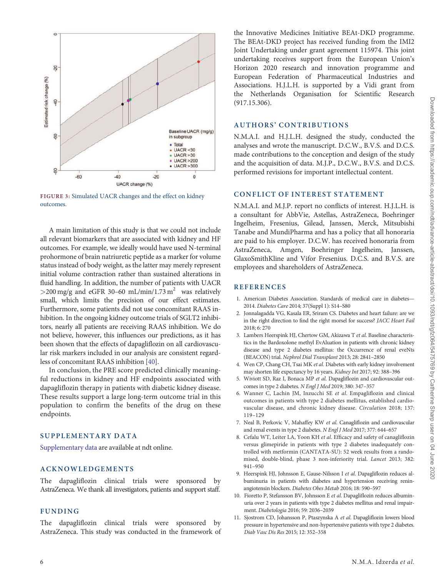<span id="page-5-0"></span>

FIGURE 3: Simulated UACR changes and the effect on kidney outcomes.

A main limitation of this study is that we could not include all relevant biomarkers that are associated with kidney and HF outcomes. For example, we ideally would have used N-terminal prohormone of brain natriuretic peptide as a marker for volume status instead of body weight, as the latter may merely represent initial volume contraction rather than sustained alterations in fluid handling. In addition, the number of patients with UACR  $>$ 200 mg/g and eGFR 30–60 mL/min/1.73 m<sup>2</sup> was relatively small, which limits the precision of our effect estimates. Furthermore, some patients did not use concomitant RAAS inhibition. In the ongoing kidney outcome trials of SGLT2 inhibitors, nearly all patients are receiving RAAS inhibition. We do not believe, however, this influences our predictions, as it has been shown that the effects of dapagliflozin on all cardiovascular risk markers included in our analysis are consistent regardless of concomitant RAAS inhibition [[40](#page-6-0)].

In conclusion, the PRE score predicted clinically meaningful reductions in kidney and HF endpoints associated with dapagliflozin therapy in patients with diabetic kidney disease. These results support a large long-term outcome trial in this population to confirm the benefits of the drug on these endpoints.

## SUPPLEMENTARY DATA

[Supplementary data](https://academic.oup.com/ndt/article-lookup/doi/10.1093/ndt/gfz064#supplementary-data) are available at ndt online.

## ACKNOWLEDGEMENTS

The dapagliflozin clinical trials were sponsored by AstraZeneca. We thank all investigators, patients and support staff.

## FUNDING

The dapagliflozin clinical trials were sponsored by AstraZeneca. This study was conducted in the framework of the Innovative Medicines Initiative BEAt-DKD programme. The BEAt-DKD project has received funding from the IMI2 Joint Undertaking under grant agreement 115974. This joint undertaking receives support from the European Union's Horizon 2020 research and innovation programme and European Federation of Pharmaceutical Industries and Associations. H.J.L.H. is supported by a Vidi grant from the Netherlands Organisation for Scientific Research (917.15.306).

#### AUTHORS' CONTRIBUTIONS

N.M.A.I. and H.J.L.H. designed the study, conducted the analyses and wrote the manuscript. D.C.W., B.V.S. and D.C.S. made contributions to the conception and design of the study and the acquisition of data. M.J.P., D.C.W., B.V.S. and D.C.S. performed revisions for important intellectual content.

## CONFLICT OF INTEREST STATEMENT

N.M.A.I. and M.J.P. report no conflicts of interest. H.J.L.H. is a consultant for AbbVie, Astellas, AstraZeneca, Boehringer Ingelheim, Fresenius, Gilead, Janssen, Merck, Mitsubishi Tanabe and MundiPharma and has a policy that all honoraria are paid to his employer. D.C.W. has received honoraria from AstraZeneca, Amgen, Boehringer Ingelheim, Janssen, GlaxoSmithKline and Vifor Fresenius. D.C.S. and B.V.S. are employees and shareholders of AstraZeneca.

## **REFERENCES**

- [1.](#page-0-0) American Diabetes Association. Standards of medical care in diabetes— 2014. Diabetes Care 2014; 37(Suppl 1): S14–S80
- [2.](#page-0-0) Jonnalagadda VG, Kasala ER, Sriram CS. Diabetes and heart failure: are we in the right direction to find the right morsel for success? JACC Heart Fail 2018; 6: 270
- [3.](#page-0-0) Lambers Heerspink HJ, Chertow GM, Akizawa T et al. Baseline characteristics in the Bardoxolone methyl EvAluation in patients with chronic kidney disease and type 2 diabetes mellitus: the Occurrence of renal eveNts (BEACON) trial. Nephrol Dial Transplant 2013; 28: 2841–2850
- [4.](#page-0-0) Wen CP, Chang CH, Tsai MK et al. Diabetes with early kidney involvement may shorten life expectancy by 16 years. Kidney Int 2017; 92: 388–396
- [5.](#page-3-0) Wiviott SD, Raz I, Bonaca MP et al. Dapagliflozin and cardiovascular outcomes in type 2 diabetes. N Engl J Med 2019; 380: 347–357
- 6. Wanner C, Lachin JM, Inzucchi SE et al. Empagliflozin and clinical outcomes in patients with type 2 diabetes mellitus, established cardiovascular disease, and chronic kidney disease. Circulation 2018; 137: 119–129
- [7.](#page-3-0) Neal B, Perkovic V, Mahaffey KW et al. Canagliflozin and cardiovascular and renal events in type 2 diabetes. N Engl J Med 2017; 377: 644–657
- [8.](#page-0-0) Cefalu WT, Leiter LA, Yoon KH et al. Efficacy and safety of canagliflozin versus glimepiride in patients with type 2 diabetes inadequately controlled with metformin (CANTATA-SU): 52 week results from a randomised, double-blind, phase 3 non-inferiority trial. Lancet 2013; 382: 941–950
- [9.](#page-1-0) Heerspink HJ, Johnsson E, Gause-Nilsson I et al. Dapagliflozin reduces albuminuria in patients with diabetes and hypertension receiving reninangiotensin blockers. Diabetes Obes Metab 2016; 18: 590–597
- [10](#page-1-0). Fioretto P, Stefansson BV, Johnsson E et al. Dapagliflozin reduces albuminuria over 2 years in patients with type 2 diabetes mellitus and renal impairment. Diabetologia 2016; 59: 2036–2039
- 11. Sjostrom CD, Johansson P, Ptaszynska A et al. Dapagliflozin lowers blood pressure in hypertensive and non-hypertensive patients with type 2 diabetes. Diab Vasc Dis Res 2015; 12: 352–358